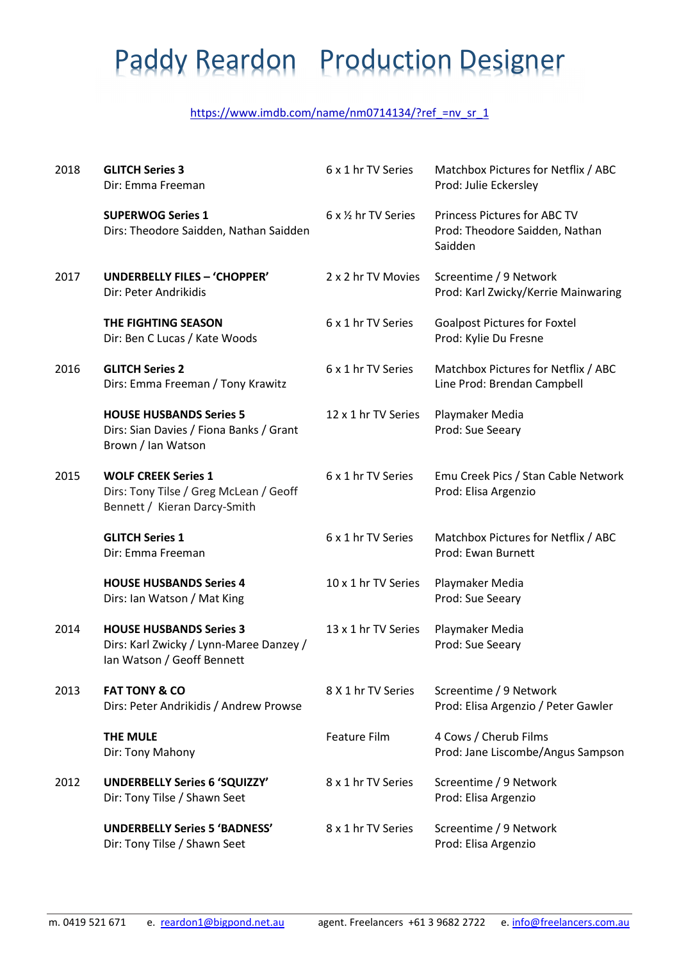### Paddy Reardon Production Designer

#### https://www.imdb.com/name/nm0714134/?ref =nv\_sr\_1

| 2018 | <b>GLITCH Series 3</b><br>Dir: Emma Freeman                                                             | 6 x 1 hr TV Series   | Matchbox Pictures for Netflix / ABC<br>Prod: Julie Eckersley              |
|------|---------------------------------------------------------------------------------------------------------|----------------------|---------------------------------------------------------------------------|
|      | <b>SUPERWOG Series 1</b><br>Dirs: Theodore Saidden, Nathan Saidden                                      | 6 x 1/2 hr TV Series | Princess Pictures for ABC TV<br>Prod: Theodore Saidden, Nathan<br>Saidden |
| 2017 | UNDERBELLY FILES - 'CHOPPER'<br>Dir: Peter Andrikidis                                                   | 2 x 2 hr TV Movies   | Screentime / 9 Network<br>Prod: Karl Zwicky/Kerrie Mainwaring             |
|      | THE FIGHTING SEASON<br>Dir: Ben C Lucas / Kate Woods                                                    | 6 x 1 hr TV Series   | <b>Goalpost Pictures for Foxtel</b><br>Prod: Kylie Du Fresne              |
| 2016 | <b>GLITCH Series 2</b><br>Dirs: Emma Freeman / Tony Krawitz                                             | 6 x 1 hr TV Series   | Matchbox Pictures for Netflix / ABC<br>Line Prod: Brendan Campbell        |
|      | <b>HOUSE HUSBANDS Series 5</b><br>Dirs: Sian Davies / Fiona Banks / Grant<br>Brown / Ian Watson         | 12 x 1 hr TV Series  | Playmaker Media<br>Prod: Sue Seeary                                       |
| 2015 | <b>WOLF CREEK Series 1</b><br>Dirs: Tony Tilse / Greg McLean / Geoff<br>Bennett / Kieran Darcy-Smith    | 6 x 1 hr TV Series   | Emu Creek Pics / Stan Cable Network<br>Prod: Elisa Argenzio               |
|      | <b>GLITCH Series 1</b><br>Dir: Emma Freeman                                                             | 6 x 1 hr TV Series   | Matchbox Pictures for Netflix / ABC<br>Prod: Ewan Burnett                 |
|      | <b>HOUSE HUSBANDS Series 4</b><br>Dirs: Ian Watson / Mat King                                           | 10 x 1 hr TV Series  | Playmaker Media<br>Prod: Sue Seeary                                       |
| 2014 | <b>HOUSE HUSBANDS Series 3</b><br>Dirs: Karl Zwicky / Lynn-Maree Danzey /<br>Ian Watson / Geoff Bennett | 13 x 1 hr TV Series  | Playmaker Media<br>Prod: Sue Seeary                                       |
| 2013 | <b>FAT TONY &amp; CO</b><br>Dirs: Peter Andrikidis / Andrew Prowse                                      | 8 X 1 hr TV Series   | Screentime / 9 Network<br>Prod: Elisa Argenzio / Peter Gawler             |
|      | THE MULE<br>Dir: Tony Mahony                                                                            | <b>Feature Film</b>  | 4 Cows / Cherub Films<br>Prod: Jane Liscombe/Angus Sampson                |
| 2012 | <b>UNDERBELLY Series 6 'SQUIZZY'</b><br>Dir: Tony Tilse / Shawn Seet                                    | 8 x 1 hr TV Series   | Screentime / 9 Network<br>Prod: Elisa Argenzio                            |
|      | <b>UNDERBELLY Series 5 'BADNESS'</b><br>Dir: Tony Tilse / Shawn Seet                                    | 8 x 1 hr TV Series   | Screentime / 9 Network<br>Prod: Elisa Argenzio                            |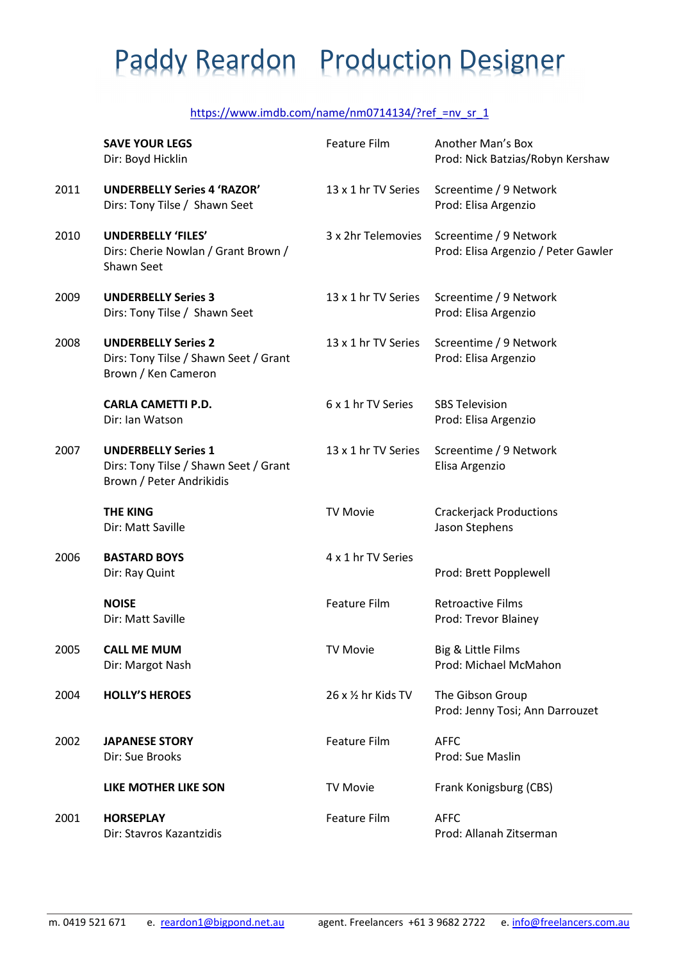# Paddy Reardon Production Designer

#### https://www.imdb.com/name/nm0714134/?ref =nv\_sr\_1

|      | <b>SAVE YOUR LEGS</b><br>Dir: Boyd Hicklin                                                      | Feature Film        | Another Man's Box<br>Prod: Nick Batzias/Robyn Kershaw         |
|------|-------------------------------------------------------------------------------------------------|---------------------|---------------------------------------------------------------|
| 2011 | <b>UNDERBELLY Series 4 'RAZOR'</b><br>Dirs: Tony Tilse / Shawn Seet                             | 13 x 1 hr TV Series | Screentime / 9 Network<br>Prod: Elisa Argenzio                |
| 2010 | <b>UNDERBELLY 'FILES'</b><br>Dirs: Cherie Nowlan / Grant Brown /<br>Shawn Seet                  | 3 x 2hr Telemovies  | Screentime / 9 Network<br>Prod: Elisa Argenzio / Peter Gawler |
| 2009 | <b>UNDERBELLY Series 3</b><br>Dirs: Tony Tilse / Shawn Seet                                     | 13 x 1 hr TV Series | Screentime / 9 Network<br>Prod: Elisa Argenzio                |
| 2008 | <b>UNDERBELLY Series 2</b><br>Dirs: Tony Tilse / Shawn Seet / Grant<br>Brown / Ken Cameron      | 13 x 1 hr TV Series | Screentime / 9 Network<br>Prod: Elisa Argenzio                |
|      | <b>CARLA CAMETTI P.D.</b><br>Dir: Ian Watson                                                    | 6 x 1 hr TV Series  | <b>SBS Television</b><br>Prod: Elisa Argenzio                 |
| 2007 | <b>UNDERBELLY Series 1</b><br>Dirs: Tony Tilse / Shawn Seet / Grant<br>Brown / Peter Andrikidis | 13 x 1 hr TV Series | Screentime / 9 Network<br>Elisa Argenzio                      |
|      | <b>THE KING</b><br>Dir: Matt Saville                                                            | <b>TV Movie</b>     | <b>Crackerjack Productions</b><br>Jason Stephens              |
| 2006 | <b>BASTARD BOYS</b><br>Dir: Ray Quint                                                           | 4 x 1 hr TV Series  | Prod: Brett Popplewell                                        |
|      | <b>NOISE</b><br>Dir: Matt Saville                                                               | <b>Feature Film</b> | <b>Retroactive Films</b><br>Prod: Trevor Blainey              |
| 2005 | <b>CALL ME MUM</b><br>Dir: Margot Nash                                                          | <b>TV Movie</b>     | Big & Little Films<br>Prod: Michael McMahon                   |
| 2004 | <b>HOLLY'S HEROES</b>                                                                           | 26 x 1/2 hr Kids TV | The Gibson Group<br>Prod: Jenny Tosi; Ann Darrouzet           |
| 2002 | <b>JAPANESE STORY</b><br>Dir: Sue Brooks                                                        | <b>Feature Film</b> | <b>AFFC</b><br>Prod: Sue Maslin                               |
|      | LIKE MOTHER LIKE SON                                                                            | <b>TV Movie</b>     | Frank Konigsburg (CBS)                                        |
| 2001 | <b>HORSEPLAY</b><br>Dir: Stavros Kazantzidis                                                    | Feature Film        | <b>AFFC</b><br>Prod: Allanah Zitserman                        |